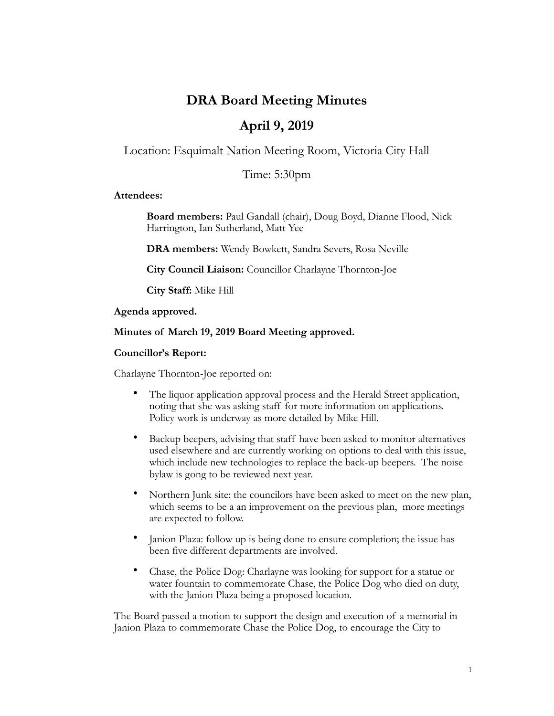# **DRA Board Meeting Minutes**

# **April 9, 2019**

Location: Esquimalt Nation Meeting Room, Victoria City Hall

Time: 5:30pm

#### **Attendees:**

**Board members:** Paul Gandall (chair), Doug Boyd, Dianne Flood, Nick Harrington, Ian Sutherland, Matt Yee

**DRA members:** Wendy Bowkett, Sandra Severs, Rosa Neville

**City Council Liaison:** Councillor Charlayne Thornton-Joe

**City Staff:** Mike Hill

**Agenda approved.** 

#### **Minutes of March 19, 2019 Board Meeting approved.**

#### **Councillor's Report:**

Charlayne Thornton-Joe reported on:

- The liquor application approval process and the Herald Street application, noting that she was asking staff for more information on applications. Policy work is underway as more detailed by Mike Hill.
- Backup beepers, advising that staff have been asked to monitor alternatives used elsewhere and are currently working on options to deal with this issue, which include new technologies to replace the back-up beepers. The noise bylaw is gong to be reviewed next year.
- Northern Junk site: the councilors have been asked to meet on the new plan, which seems to be a an improvement on the previous plan, more meetings are expected to follow.
- Janion Plaza: follow up is being done to ensure completion; the issue has been five different departments are involved.
- Chase, the Police Dog: Charlayne was looking for support for a statue or water fountain to commemorate Chase, the Police Dog who died on duty, with the Janion Plaza being a proposed location.

The Board passed a motion to support the design and execution of a memorial in Janion Plaza to commemorate Chase the Police Dog, to encourage the City to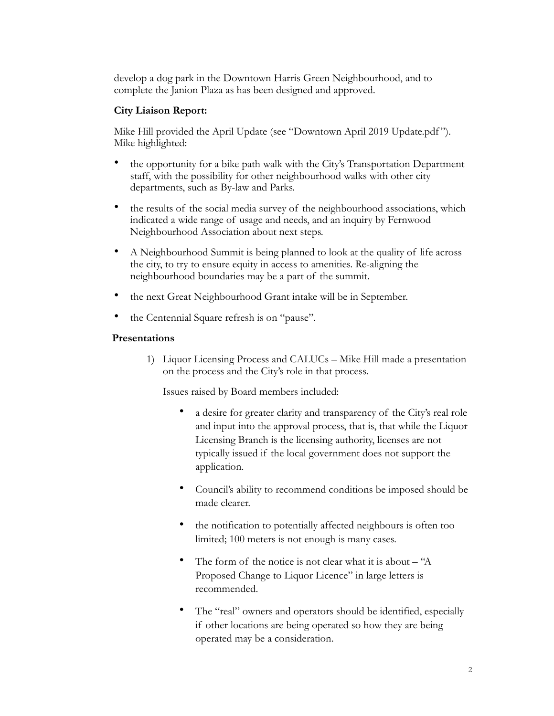develop a dog park in the Downtown Harris Green Neighbourhood, and to complete the Janion Plaza as has been designed and approved.

#### **City Liaison Report:**

Mike Hill provided the April Update (see "Downtown April 2019 Update.pdf"). Mike highlighted:

- the opportunity for a bike path walk with the City's Transportation Department staff, with the possibility for other neighbourhood walks with other city departments, such as By-law and Parks.
- the results of the social media survey of the neighbourhood associations, which indicated a wide range of usage and needs, and an inquiry by Fernwood Neighbourhood Association about next steps.
- A Neighbourhood Summit is being planned to look at the quality of life across the city, to try to ensure equity in access to amenities. Re-aligning the neighbourhood boundaries may be a part of the summit.
- the next Great Neighbourhood Grant intake will be in September.
- the Centennial Square refresh is on "pause".

#### **Presentations**

1) Liquor Licensing Process and CALUCs – Mike Hill made a presentation on the process and the City's role in that process.

Issues raised by Board members included:

- a desire for greater clarity and transparency of the City's real role and input into the approval process, that is, that while the Liquor Licensing Branch is the licensing authority, licenses are not typically issued if the local government does not support the application.
- Council's ability to recommend conditions be imposed should be made clearer.
- the notification to potentially affected neighbours is often too limited; 100 meters is not enough is many cases.
- The form of the notice is not clear what it is about "A Proposed Change to Liquor Licence" in large letters is recommended.
- The "real" owners and operators should be identified, especially if other locations are being operated so how they are being operated may be a consideration.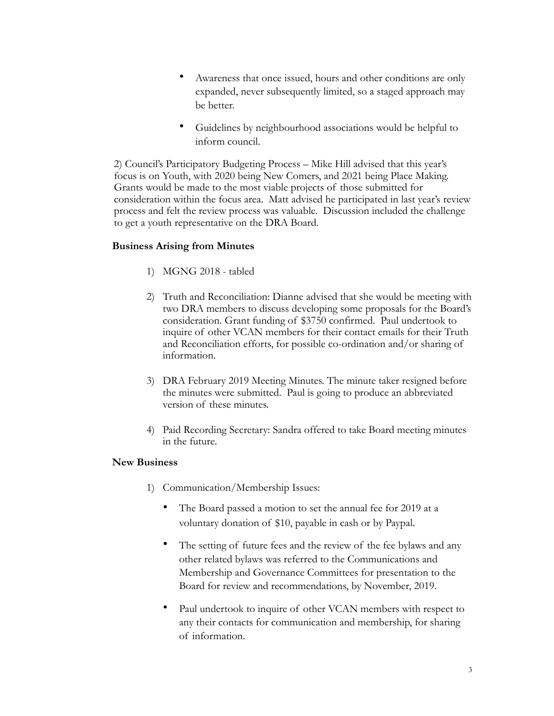- Awareness that once issued, hours and other conditions are only expanded, never subsequently limited, so a staged approach may be better.
- Guidelines by neighbourhood associations would be helpful to inform council.

2) Council's Participatory Budgeting Process – Mike Hill advised that this year's focus is on Youth, with 2020 being New Comers, and 2021 being Place Making. Grants would be made to the most viable projects of those submitted for consideration within the focus area. Matt advised he participated in last year's review process and felt the review process was valuable. Discussion included the challenge to get a youth representative on the DRA Board.

### **Business Arising from Minutes**

- 1) MGNG 2018 tabled
- 2) Truth and Reconciliation: Dianne advised that she would be meeting with two DRA members to discuss developing some proposals for the Board's consideration. Grant funding of \$3750 confirmed. Paul undertook to inquire of other VCAN members for their contact emails for their Truth and Reconciliation efforts, for possible co-ordination and/or sharing of information.
- 3) DRA February 2019 Meeting Minutes. The minute taker resigned before the minutes were submitted. Paul is going to produce an abbreviated version of these minutes.
- 4) Paid Recording Secretary: Sandra offered to take Board meeting minutes in the future.

### **New Business**

- 1) Communication/Membership Issues:
	- The Board passed a motion to set the annual fee for 2019 at a voluntary donation of \$10, payable in cash or by Paypal.
	- The setting of future fees and the review of the fee bylaws and any other related bylaws was referred to the Communications and Membership and Governance Committees for presentation to the Board for review and recommendations, by November, 2019.
	- Paul undertook to inquire of other VCAN members with respect to any their contacts for communication and membership, for sharing of information.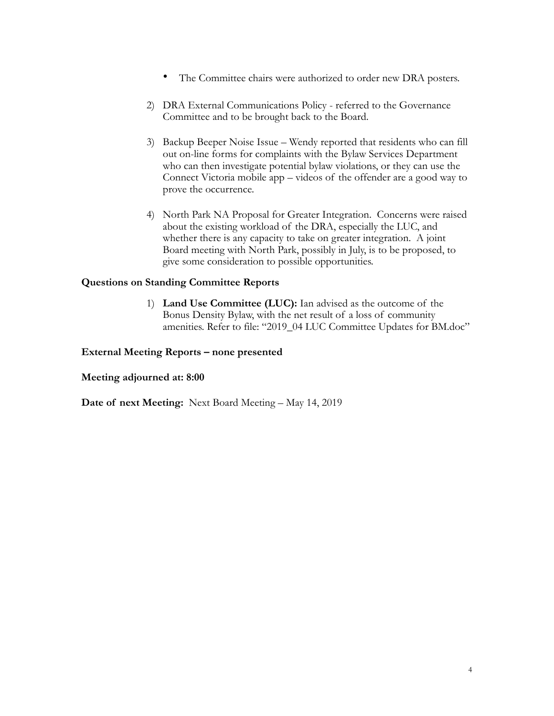- The Committee chairs were authorized to order new DRA posters.
- 2) DRA External Communications Policy referred to the Governance Committee and to be brought back to the Board.
- 3) Backup Beeper Noise Issue Wendy reported that residents who can fill out on-line forms for complaints with the Bylaw Services Department who can then investigate potential bylaw violations, or they can use the Connect Victoria mobile app – videos of the offender are a good way to prove the occurrence.
- 4) North Park NA Proposal for Greater Integration. Concerns were raised about the existing workload of the DRA, especially the LUC, and whether there is any capacity to take on greater integration. A joint Board meeting with North Park, possibly in July, is to be proposed, to give some consideration to possible opportunities.

#### **Questions on Standing Committee Reports**

1) **Land Use Committee (LUC):** Ian advised as the outcome of the Bonus Density Bylaw, with the net result of a loss of community amenities. Refer to file: "2019\_04 LUC Committee Updates for BM.doc"

#### **External Meeting Reports – none presented**

#### **Meeting adjourned at: 8:00**

**Date of next Meeting:** Next Board Meeting – May 14, 2019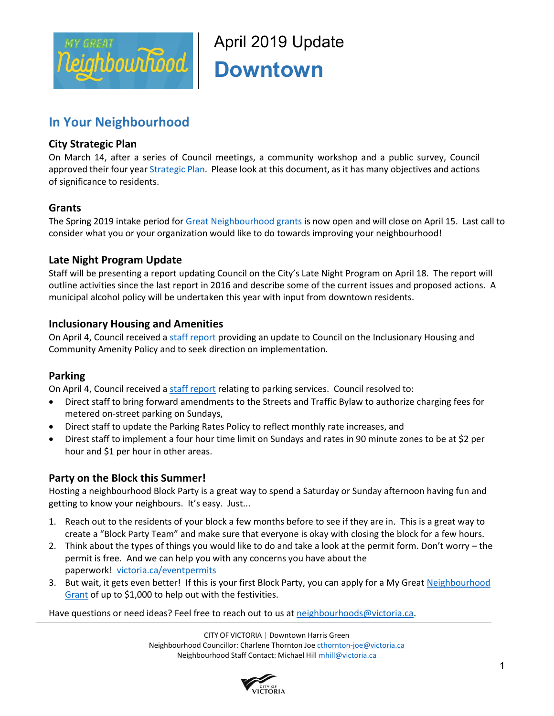

April 2019 Update **Downtown** 

# **In Your Neighbourhood**

# **City Strategic Plan**

On March 14, after a series of Council meetings, a community workshop and a public survey, Council approved their four year *Strategic Plan*. Please look at this document, as it has many objectives and actions of significance to residents.

# **Grants**

The Spring 2019 intake period for [Great Neighbourhood grants](https://www.victoria.ca/EN/main/residents/Neighbourhoods/my-great-neighbourhood-grant-program.html) is now open and will close on April 15. Last call to consider what you or your organization would like to do towards improving your neighbourhood!

# **Late Night Program Update**

Staff will be presenting a report updating Council on the City's Late Night Program on April 18. The report will outline activities since the last report in 2016 and describe some of the current issues and proposed actions. A municipal alcohol policy will be undertaken this year with input from downtown residents.

## **Inclusionary Housing and Amenities**

On April 4, Council received [a staff report](https://pub-victoria.escribemeetings.com/filestream.ashx?DocumentId=35798) providing an update to Council on the Inclusionary Housing and Community Amenity Policy and to seek direction on implementation.

### **Parking**

On April 4, Council received [a staff report](https://pub-victoria.escribemeetings.com/filestream.ashx?DocumentId=35712) relating to parking services. Council resolved to:

- Direct staff to bring forward amendments to the Streets and Traffic Bylaw to authorize charging fees for metered on-street parking on Sundays,
- Direct staff to update the Parking Rates Policy to reflect monthly rate increases, and
- Direst staff to implement a four hour time limit on Sundays and rates in 90 minute zones to be at \$2 per hour and \$1 per hour in other areas.

# **Party on the Block this Summer!**

Hosting a neighbourhood Block Party is a great way to spend a Saturday or Sunday afternoon having fun and getting to know your neighbours. It's easy. Just...

- 1. Reach out to the residents of your block a few months before to see if they are in. This is a great way to create a "Block Party Team" and make sure that everyone is okay with closing the block for a few hours.
- 2. Think about the types of things you would like to do and take a look at the permit form. Don't worry the permit is free. And we can help you with any concerns you have about the paperwork! victoria.ca/eventpermits
- 3. But wait, it gets even better! If this is your first Block Party, you can apply for a My Great Neighbourhood [Grant](https://www.victoria.ca/EN/main/residents/Neighbourhoods/my-great-neighbourhood-grant-program.html) of up to \$1,000 to help out with the festivities.

Have questions or need ideas? Feel free to reach out to us a[t neighbourhoods@victoria.ca.](mailto:neighbourhoods@victoria.ca)